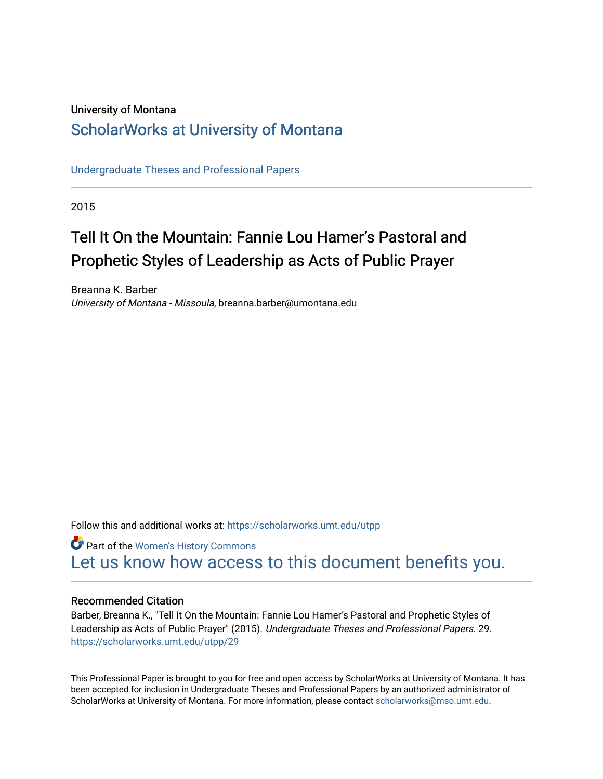## University of Montana

# [ScholarWorks at University of Montana](https://scholarworks.umt.edu/)

[Undergraduate Theses and Professional Papers](https://scholarworks.umt.edu/utpp) 

2015

# Tell It On the Mountain: Fannie Lou Hamer's Pastoral and Prophetic Styles of Leadership as Acts of Public Prayer

Breanna K. Barber University of Montana - Missoula, breanna.barber@umontana.edu

Follow this and additional works at: [https://scholarworks.umt.edu/utpp](https://scholarworks.umt.edu/utpp?utm_source=scholarworks.umt.edu%2Futpp%2F29&utm_medium=PDF&utm_campaign=PDFCoverPages)

Part of the [Women's History Commons](http://network.bepress.com/hgg/discipline/507?utm_source=scholarworks.umt.edu%2Futpp%2F29&utm_medium=PDF&utm_campaign=PDFCoverPages) [Let us know how access to this document benefits you.](https://goo.gl/forms/s2rGfXOLzz71qgsB2) 

### Recommended Citation

Barber, Breanna K., "Tell It On the Mountain: Fannie Lou Hamer's Pastoral and Prophetic Styles of Leadership as Acts of Public Prayer" (2015). Undergraduate Theses and Professional Papers. 29. [https://scholarworks.umt.edu/utpp/29](https://scholarworks.umt.edu/utpp/29?utm_source=scholarworks.umt.edu%2Futpp%2F29&utm_medium=PDF&utm_campaign=PDFCoverPages) 

This Professional Paper is brought to you for free and open access by ScholarWorks at University of Montana. It has been accepted for inclusion in Undergraduate Theses and Professional Papers by an authorized administrator of ScholarWorks at University of Montana. For more information, please contact [scholarworks@mso.umt.edu.](mailto:scholarworks@mso.umt.edu)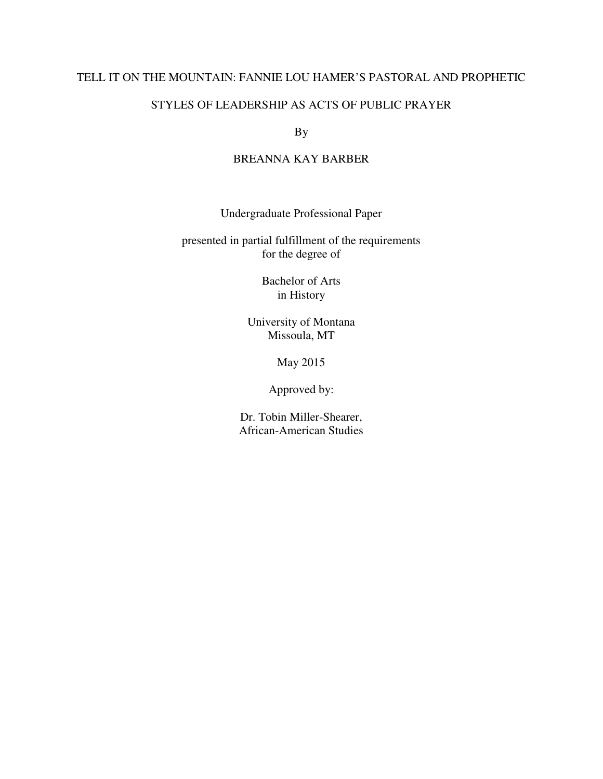## TELL IT ON THE MOUNTAIN: FANNIE LOU HAMER'S PASTORAL AND PROPHETIC

## STYLES OF LEADERSHIP AS ACTS OF PUBLIC PRAYER

By

# BREANNA KAY BARBER

Undergraduate Professional Paper

presented in partial fulfillment of the requirements for the degree of

> Bachelor of Arts in History

University of Montana Missoula, MT

May 2015

Approved by:

Dr. Tobin Miller-Shearer, African-American Studies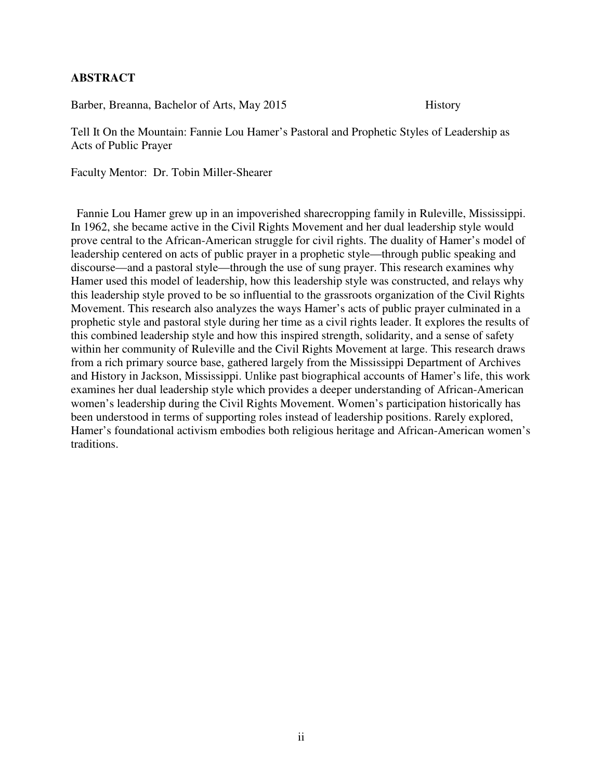## **ABSTRACT**

Barber, Breanna, Bachelor of Arts, May 2015 History

Tell It On the Mountain: Fannie Lou Hamer's Pastoral and Prophetic Styles of Leadership as Acts of Public Prayer

Faculty Mentor: Dr. Tobin Miller-Shearer

 Fannie Lou Hamer grew up in an impoverished sharecropping family in Ruleville, Mississippi. In 1962, she became active in the Civil Rights Movement and her dual leadership style would prove central to the African-American struggle for civil rights. The duality of Hamer's model of leadership centered on acts of public prayer in a prophetic style—through public speaking and discourse—and a pastoral style—through the use of sung prayer. This research examines why Hamer used this model of leadership, how this leadership style was constructed, and relays why this leadership style proved to be so influential to the grassroots organization of the Civil Rights Movement. This research also analyzes the ways Hamer's acts of public prayer culminated in a prophetic style and pastoral style during her time as a civil rights leader. It explores the results of this combined leadership style and how this inspired strength, solidarity, and a sense of safety within her community of Ruleville and the Civil Rights Movement at large. This research draws from a rich primary source base, gathered largely from the Mississippi Department of Archives and History in Jackson, Mississippi. Unlike past biographical accounts of Hamer's life, this work examines her dual leadership style which provides a deeper understanding of African-American women's leadership during the Civil Rights Movement. Women's participation historically has been understood in terms of supporting roles instead of leadership positions. Rarely explored, Hamer's foundational activism embodies both religious heritage and African-American women's traditions.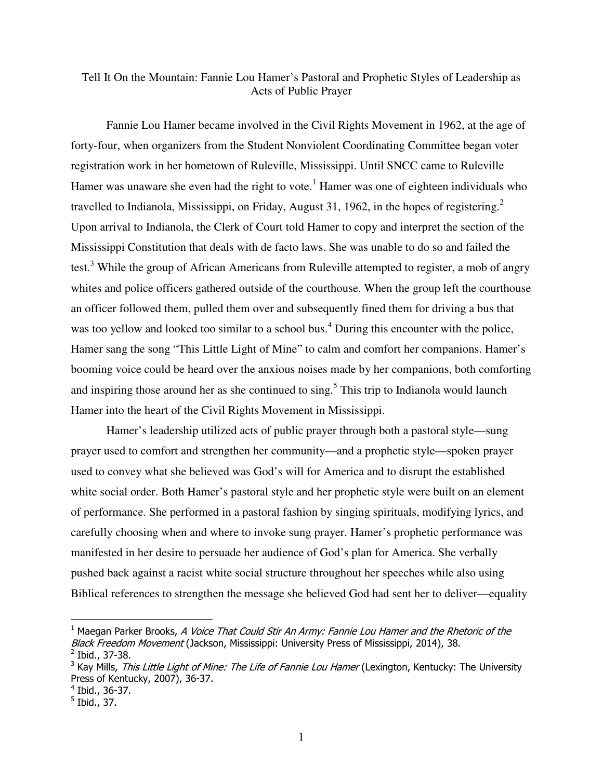## Tell It On the Mountain: Fannie Lou Hamer's Pastoral and Prophetic Styles of Leadership as Acts of Public Prayer

Fannie Lou Hamer became involved in the Civil Rights Movement in 1962, at the age of forty-four, when organizers from the Student Nonviolent Coordinating Committee began voter registration work in her hometown of Ruleville, Mississippi. Until SNCC came to Ruleville Hamer was unaware she even had the right to vote.<sup>1</sup> Hamer was one of eighteen individuals who travelled to Indianola, Mississippi, on Friday, August 31, 1962, in the hopes of registering.<sup>2</sup> Upon arrival to Indianola, the Clerk of Court told Hamer to copy and interpret the section of the Mississippi Constitution that deals with de facto laws. She was unable to do so and failed the test.<sup>3</sup> While the group of African Americans from Ruleville attempted to register, a mob of angry whites and police officers gathered outside of the courthouse. When the group left the courthouse an officer followed them, pulled them over and subsequently fined them for driving a bus that was too yellow and looked too similar to a school bus.<sup>4</sup> During this encounter with the police, Hamer sang the song "This Little Light of Mine" to calm and comfort her companions. Hamer's booming voice could be heard over the anxious noises made by her companions, both comforting and inspiring those around her as she continued to sing.<sup>5</sup> This trip to Indianola would launch Hamer into the heart of the Civil Rights Movement in Mississippi.

Hamer's leadership utilized acts of public prayer through both a pastoral style—sung prayer used to comfort and strengthen her community—and a prophetic style—spoken prayer used to convey what she believed was God's will for America and to disrupt the established white social order. Both Hamer's pastoral style and her prophetic style were built on an element of performance. She performed in a pastoral fashion by singing spirituals, modifying lyrics, and carefully choosing when and where to invoke sung prayer. Hamer's prophetic performance was manifested in her desire to persuade her audience of God's plan for America. She verbally pushed back against a racist white social structure throughout her speeches while also using Biblical references to strengthen the message she believed God had sent her to deliver—equality

<sup>&</sup>lt;sup>1</sup> Maegan Parker Brooks, A Voice That Could Stir An Army: Fannie Lou Hamer and the Rhetoric of the Black Freedom Movement (Jackson, Mississippi: University Press of Mississippi, 2014), 38. <sup>2</sup> Ibid., 37-38.

<sup>&</sup>lt;sup>3</sup> Kay Mills, *This Little Light of Mine: The Life of Fannie Lou Hamer* (Lexington, Kentucky: The University Press of Kentucky, 2007), 36-37.

<sup>4</sup> Ibid., 36-37.

<sup>&</sup>lt;sup>5</sup> Ibid., 37.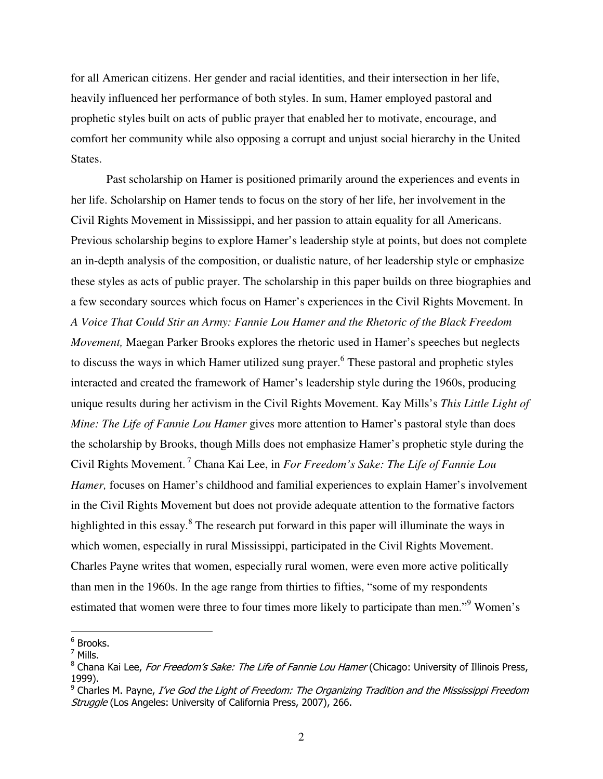for all American citizens. Her gender and racial identities, and their intersection in her life, heavily influenced her performance of both styles. In sum, Hamer employed pastoral and prophetic styles built on acts of public prayer that enabled her to motivate, encourage, and comfort her community while also opposing a corrupt and unjust social hierarchy in the United States.

Past scholarship on Hamer is positioned primarily around the experiences and events in her life. Scholarship on Hamer tends to focus on the story of her life, her involvement in the Civil Rights Movement in Mississippi, and her passion to attain equality for all Americans. Previous scholarship begins to explore Hamer's leadership style at points, but does not complete an in-depth analysis of the composition, or dualistic nature, of her leadership style or emphasize these styles as acts of public prayer. The scholarship in this paper builds on three biographies and a few secondary sources which focus on Hamer's experiences in the Civil Rights Movement. In *A Voice That Could Stir an Army: Fannie Lou Hamer and the Rhetoric of the Black Freedom Movement,* Maegan Parker Brooks explores the rhetoric used in Hamer's speeches but neglects to discuss the ways in which Hamer utilized sung prayer.<sup>6</sup> These pastoral and prophetic styles interacted and created the framework of Hamer's leadership style during the 1960s, producing unique results during her activism in the Civil Rights Movement. Kay Mills's *This Little Light of Mine: The Life of Fannie Lou Hamer* gives more attention to Hamer's pastoral style than does the scholarship by Brooks, though Mills does not emphasize Hamer's prophetic style during the Civil Rights Movement.<sup>7</sup> Chana Kai Lee, in *For Freedom's Sake: The Life of Fannie Lou Hamer,* focuses on Hamer's childhood and familial experiences to explain Hamer's involvement in the Civil Rights Movement but does not provide adequate attention to the formative factors highlighted in this essay.<sup>8</sup> The research put forward in this paper will illuminate the ways in which women, especially in rural Mississippi, participated in the Civil Rights Movement. Charles Payne writes that women, especially rural women, were even more active politically than men in the 1960s. In the age range from thirties to fifties, "some of my respondents estimated that women were three to four times more likely to participate than men."<sup>9</sup> Women's

<sup>&</sup>lt;sup>6</sup> Brooks.

 $^7$  Mills.

<sup>&</sup>lt;sup>8</sup> Chana Kai Lee, *For Freedom's Sake: The Life of Fannie Lou Hamer* (Chicago: University of Illinois Press, 1999).

<sup>&</sup>lt;sup>9</sup> Charles M. Payne, *I've God the Light of Freedom: The Organizing Tradition and the Mississippi Freedom* Struggle (Los Angeles: University of California Press, 2007), 266.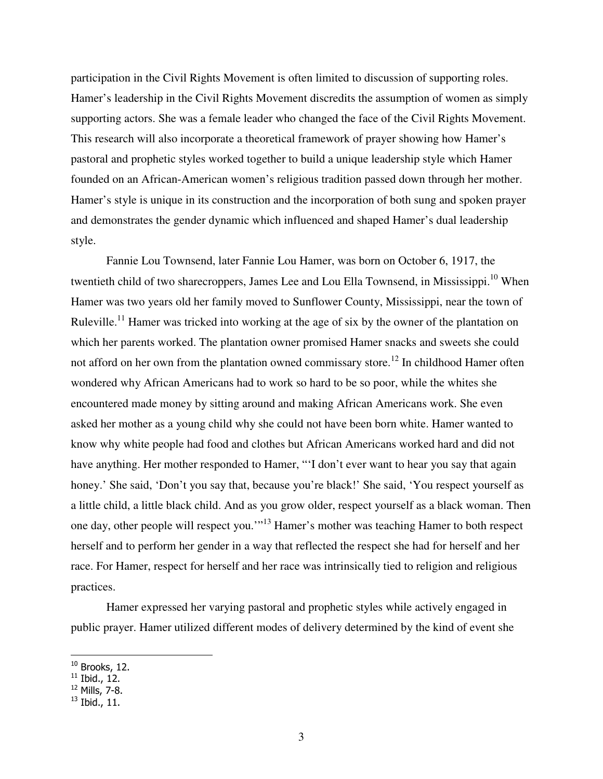participation in the Civil Rights Movement is often limited to discussion of supporting roles. Hamer's leadership in the Civil Rights Movement discredits the assumption of women as simply supporting actors. She was a female leader who changed the face of the Civil Rights Movement. This research will also incorporate a theoretical framework of prayer showing how Hamer's pastoral and prophetic styles worked together to build a unique leadership style which Hamer founded on an African-American women's religious tradition passed down through her mother. Hamer's style is unique in its construction and the incorporation of both sung and spoken prayer and demonstrates the gender dynamic which influenced and shaped Hamer's dual leadership style.

Fannie Lou Townsend, later Fannie Lou Hamer, was born on October 6, 1917, the twentieth child of two sharecroppers, James Lee and Lou Ella Townsend, in Mississippi.<sup>10</sup> When Hamer was two years old her family moved to Sunflower County, Mississippi, near the town of Ruleville.<sup>11</sup> Hamer was tricked into working at the age of six by the owner of the plantation on which her parents worked. The plantation owner promised Hamer snacks and sweets she could not afford on her own from the plantation owned commissary store.<sup>12</sup> In childhood Hamer often wondered why African Americans had to work so hard to be so poor, while the whites she encountered made money by sitting around and making African Americans work. She even asked her mother as a young child why she could not have been born white. Hamer wanted to know why white people had food and clothes but African Americans worked hard and did not have anything. Her mother responded to Hamer, "'I don't ever want to hear you say that again honey.' She said, 'Don't you say that, because you're black!' She said, 'You respect yourself as a little child, a little black child. And as you grow older, respect yourself as a black woman. Then one day, other people will respect you.'"<sup>13</sup> Hamer's mother was teaching Hamer to both respect herself and to perform her gender in a way that reflected the respect she had for herself and her race. For Hamer, respect for herself and her race was intrinsically tied to religion and religious practices.

Hamer expressed her varying pastoral and prophetic styles while actively engaged in public prayer. Hamer utilized different modes of delivery determined by the kind of event she

 $10$  Brooks, 12.

 $11$  Ibid., 12.

<sup>12</sup> Mills, 7-8.

 $^{13}$  Ibid., 11.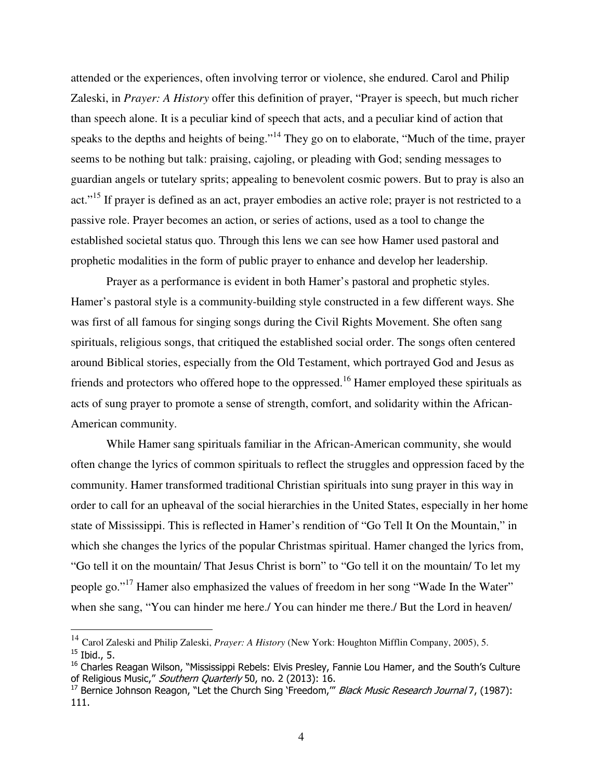attended or the experiences, often involving terror or violence, she endured. Carol and Philip Zaleski, in *Prayer: A History* offer this definition of prayer, "Prayer is speech, but much richer than speech alone. It is a peculiar kind of speech that acts, and a peculiar kind of action that speaks to the depths and heights of being."<sup>14</sup> They go on to elaborate, "Much of the time, prayer seems to be nothing but talk: praising, cajoling, or pleading with God; sending messages to guardian angels or tutelary sprits; appealing to benevolent cosmic powers. But to pray is also an act."<sup>15</sup> If prayer is defined as an act, prayer embodies an active role; prayer is not restricted to a passive role. Prayer becomes an action, or series of actions, used as a tool to change the established societal status quo. Through this lens we can see how Hamer used pastoral and prophetic modalities in the form of public prayer to enhance and develop her leadership.

 Prayer as a performance is evident in both Hamer's pastoral and prophetic styles. Hamer's pastoral style is a community-building style constructed in a few different ways. She was first of all famous for singing songs during the Civil Rights Movement. She often sang spirituals, religious songs, that critiqued the established social order. The songs often centered around Biblical stories, especially from the Old Testament, which portrayed God and Jesus as friends and protectors who offered hope to the oppressed.<sup>16</sup> Hamer employed these spirituals as acts of sung prayer to promote a sense of strength, comfort, and solidarity within the African-American community.

While Hamer sang spirituals familiar in the African-American community, she would often change the lyrics of common spirituals to reflect the struggles and oppression faced by the community. Hamer transformed traditional Christian spirituals into sung prayer in this way in order to call for an upheaval of the social hierarchies in the United States, especially in her home state of Mississippi. This is reflected in Hamer's rendition of "Go Tell It On the Mountain," in which she changes the lyrics of the popular Christmas spiritual. Hamer changed the lyrics from, "Go tell it on the mountain/ That Jesus Christ is born" to "Go tell it on the mountain/ To let my people go."<sup>17</sup> Hamer also emphasized the values of freedom in her song "Wade In the Water" when she sang, "You can hinder me here./ You can hinder me there./ But the Lord in heaven/

<sup>14</sup> Carol Zaleski and Philip Zaleski, *Prayer: A History* (New York: Houghton Mifflin Company, 2005), 5.  $^{15}$  Ibid., 5.

<sup>&</sup>lt;sup>16</sup> Charles Reagan Wilson, "Mississippi Rebels: Elvis Presley, Fannie Lou Hamer, and the South's Culture of Religious Music," Southern Quarterly 50, no. 2 (2013): 16.

<sup>&</sup>lt;sup>17</sup> Bernice Johnson Reagon, "Let the Church Sing 'Freedom," Black Music Research Journal 7, (1987): 111.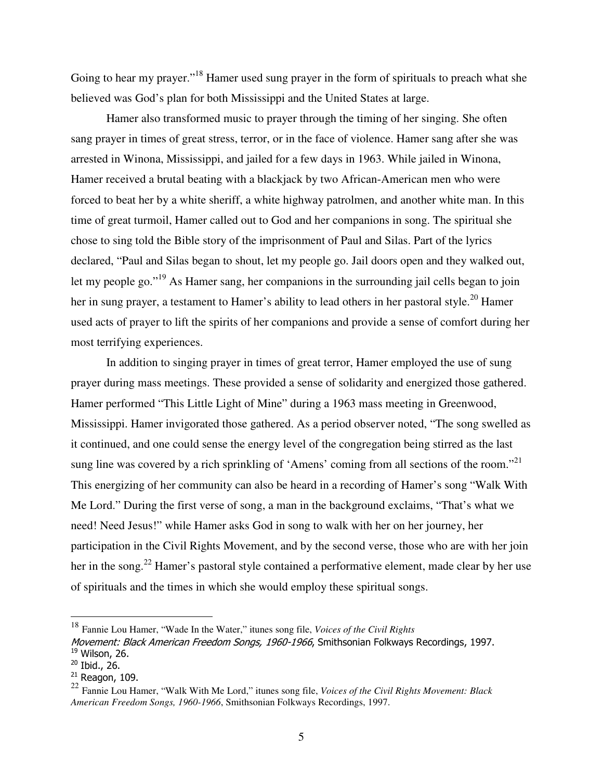Going to hear my prayer."<sup>18</sup> Hamer used sung prayer in the form of spirituals to preach what she believed was God's plan for both Mississippi and the United States at large.

Hamer also transformed music to prayer through the timing of her singing. She often sang prayer in times of great stress, terror, or in the face of violence. Hamer sang after she was arrested in Winona, Mississippi, and jailed for a few days in 1963. While jailed in Winona, Hamer received a brutal beating with a blackjack by two African-American men who were forced to beat her by a white sheriff, a white highway patrolmen, and another white man. In this time of great turmoil, Hamer called out to God and her companions in song. The spiritual she chose to sing told the Bible story of the imprisonment of Paul and Silas. Part of the lyrics declared, "Paul and Silas began to shout, let my people go. Jail doors open and they walked out, let my people go."<sup>19</sup> As Hamer sang, her companions in the surrounding jail cells began to join her in sung prayer, a testament to Hamer's ability to lead others in her pastoral style.<sup>20</sup> Hamer used acts of prayer to lift the spirits of her companions and provide a sense of comfort during her most terrifying experiences.

In addition to singing prayer in times of great terror, Hamer employed the use of sung prayer during mass meetings. These provided a sense of solidarity and energized those gathered. Hamer performed "This Little Light of Mine" during a 1963 mass meeting in Greenwood, Mississippi. Hamer invigorated those gathered. As a period observer noted, "The song swelled as it continued, and one could sense the energy level of the congregation being stirred as the last sung line was covered by a rich sprinkling of 'Amens' coming from all sections of the room."<sup>21</sup> This energizing of her community can also be heard in a recording of Hamer's song "Walk With Me Lord." During the first verse of song, a man in the background exclaims, "That's what we need! Need Jesus!" while Hamer asks God in song to walk with her on her journey, her participation in the Civil Rights Movement, and by the second verse, those who are with her join her in the song.<sup>22</sup> Hamer's pastoral style contained a performative element, made clear by her use of spirituals and the times in which she would employ these spiritual songs.

<sup>18</sup> Fannie Lou Hamer, "Wade In the Water," itunes song file, *Voices of the Civil Rights* 

Movement: Black American Freedom Songs, 1960-1966, Smithsonian Folkways Recordings, 1997.  $19$  Wilson, 26.

<sup>20</sup> Ibid., 26.

 $21$  Reagon, 109.

<sup>22</sup> Fannie Lou Hamer, "Walk With Me Lord," itunes song file, *Voices of the Civil Rights Movement: Black American Freedom Songs, 1960-1966*, Smithsonian Folkways Recordings, 1997.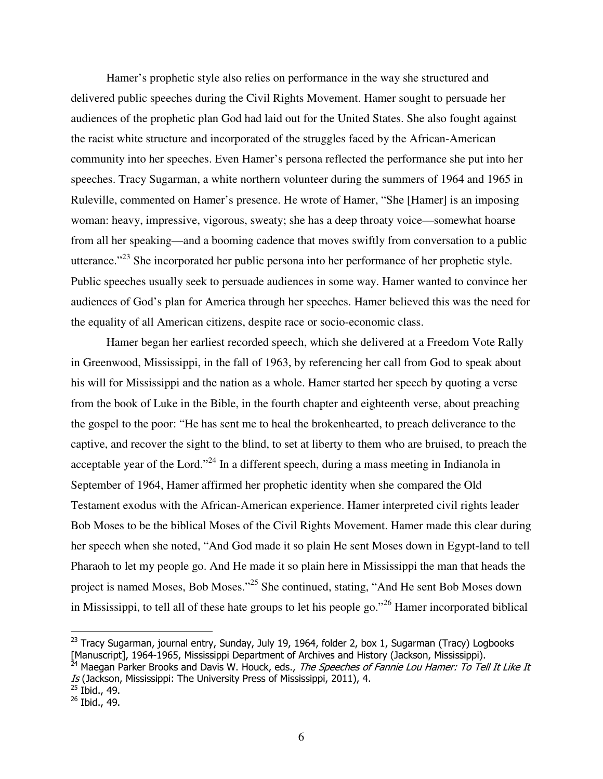Hamer's prophetic style also relies on performance in the way she structured and delivered public speeches during the Civil Rights Movement. Hamer sought to persuade her audiences of the prophetic plan God had laid out for the United States. She also fought against the racist white structure and incorporated of the struggles faced by the African-American community into her speeches. Even Hamer's persona reflected the performance she put into her speeches. Tracy Sugarman, a white northern volunteer during the summers of 1964 and 1965 in Ruleville, commented on Hamer's presence. He wrote of Hamer, "She [Hamer] is an imposing woman: heavy, impressive, vigorous, sweaty; she has a deep throaty voice—somewhat hoarse from all her speaking—and a booming cadence that moves swiftly from conversation to a public utterance."<sup>23</sup> She incorporated her public persona into her performance of her prophetic style. Public speeches usually seek to persuade audiences in some way. Hamer wanted to convince her audiences of God's plan for America through her speeches. Hamer believed this was the need for the equality of all American citizens, despite race or socio-economic class.

Hamer began her earliest recorded speech, which she delivered at a Freedom Vote Rally in Greenwood, Mississippi, in the fall of 1963, by referencing her call from God to speak about his will for Mississippi and the nation as a whole. Hamer started her speech by quoting a verse from the book of Luke in the Bible, in the fourth chapter and eighteenth verse, about preaching the gospel to the poor: "He has sent me to heal the brokenhearted, to preach deliverance to the captive, and recover the sight to the blind, to set at liberty to them who are bruised, to preach the acceptable year of the Lord."<sup>24</sup> In a different speech, during a mass meeting in Indianola in September of 1964, Hamer affirmed her prophetic identity when she compared the Old Testament exodus with the African-American experience. Hamer interpreted civil rights leader Bob Moses to be the biblical Moses of the Civil Rights Movement. Hamer made this clear during her speech when she noted, "And God made it so plain He sent Moses down in Egypt-land to tell Pharaoh to let my people go. And He made it so plain here in Mississippi the man that heads the project is named Moses, Bob Moses."<sup>25</sup> She continued, stating, "And He sent Bob Moses down in Mississippi, to tell all of these hate groups to let his people go."<sup>26</sup> Hamer incorporated biblical

<sup>24</sup> Maegan Parker Brooks and Davis W. Houck, eds., *The Speeches of Fannie Lou Hamer: To Tell It Like It* Is (Jackson, Mississippi: The University Press of Mississippi, 2011), 4.

 $^{23}$  Tracy Sugarman, journal entry, Sunday, July 19, 1964, folder 2, box 1, Sugarman (Tracy) Logbooks [Manuscript], 1964-1965, Mississippi Department of Archives and History (Jackson, Mississippi).

 $^{25}$  Ibid., 49.

<sup>26</sup> Ibid., 49.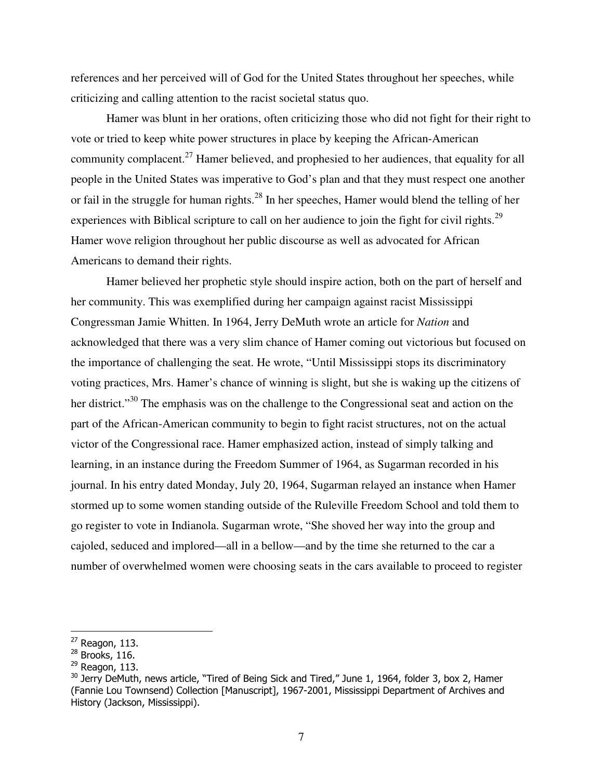references and her perceived will of God for the United States throughout her speeches, while criticizing and calling attention to the racist societal status quo.

Hamer was blunt in her orations, often criticizing those who did not fight for their right to vote or tried to keep white power structures in place by keeping the African-American community complacent.<sup>27</sup> Hamer believed, and prophesied to her audiences, that equality for all people in the United States was imperative to God's plan and that they must respect one another or fail in the struggle for human rights.<sup>28</sup> In her speeches, Hamer would blend the telling of her experiences with Biblical scripture to call on her audience to join the fight for civil rights.<sup>29</sup> Hamer wove religion throughout her public discourse as well as advocated for African Americans to demand their rights.

Hamer believed her prophetic style should inspire action, both on the part of herself and her community. This was exemplified during her campaign against racist Mississippi Congressman Jamie Whitten. In 1964, Jerry DeMuth wrote an article for *Nation* and acknowledged that there was a very slim chance of Hamer coming out victorious but focused on the importance of challenging the seat. He wrote, "Until Mississippi stops its discriminatory voting practices, Mrs. Hamer's chance of winning is slight, but she is waking up the citizens of her district."<sup>30</sup> The emphasis was on the challenge to the Congressional seat and action on the part of the African-American community to begin to fight racist structures, not on the actual victor of the Congressional race. Hamer emphasized action, instead of simply talking and learning, in an instance during the Freedom Summer of 1964, as Sugarman recorded in his journal. In his entry dated Monday, July 20, 1964, Sugarman relayed an instance when Hamer stormed up to some women standing outside of the Ruleville Freedom School and told them to go register to vote in Indianola. Sugarman wrote, "She shoved her way into the group and cajoled, seduced and implored—all in a bellow—and by the time she returned to the car a number of overwhelmed women were choosing seats in the cars available to proceed to register

 $27$  Reagon, 113.

<sup>&</sup>lt;sup>28</sup> Brooks, 116.

 $29$  Reagon, 113.

 $30$  Jerry DeMuth, news article, "Tired of Being Sick and Tired," June 1, 1964, folder 3, box 2, Hamer (Fannie Lou Townsend) Collection [Manuscript], 1967-2001, Mississippi Department of Archives and History (Jackson, Mississippi).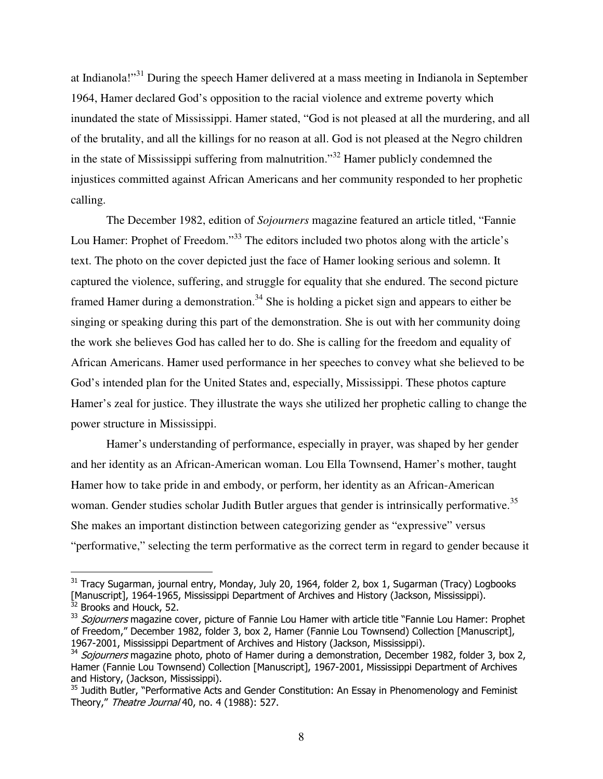at Indianola!"<sup>31</sup> During the speech Hamer delivered at a mass meeting in Indianola in September 1964, Hamer declared God's opposition to the racial violence and extreme poverty which inundated the state of Mississippi. Hamer stated, "God is not pleased at all the murdering, and all of the brutality, and all the killings for no reason at all. God is not pleased at the Negro children in the state of Mississippi suffering from malnutrition."<sup>32</sup> Hamer publicly condemned the injustices committed against African Americans and her community responded to her prophetic calling.

The December 1982, edition of *Sojourners* magazine featured an article titled, "Fannie Lou Hamer: Prophet of Freedom."<sup>33</sup> The editors included two photos along with the article's text. The photo on the cover depicted just the face of Hamer looking serious and solemn. It captured the violence, suffering, and struggle for equality that she endured. The second picture framed Hamer during a demonstration.<sup>34</sup> She is holding a picket sign and appears to either be singing or speaking during this part of the demonstration. She is out with her community doing the work she believes God has called her to do. She is calling for the freedom and equality of African Americans. Hamer used performance in her speeches to convey what she believed to be God's intended plan for the United States and, especially, Mississippi. These photos capture Hamer's zeal for justice. They illustrate the ways she utilized her prophetic calling to change the power structure in Mississippi.

Hamer's understanding of performance, especially in prayer, was shaped by her gender and her identity as an African-American woman. Lou Ella Townsend, Hamer's mother, taught Hamer how to take pride in and embody, or perform, her identity as an African-American woman. Gender studies scholar Judith Butler argues that gender is intrinsically performative.<sup>35</sup> She makes an important distinction between categorizing gender as "expressive" versus "performative," selecting the term performative as the correct term in regard to gender because it

<u>.</u>

 $31$  Tracy Sugarman, journal entry, Monday, July 20, 1964, folder 2, box 1, Sugarman (Tracy) Logbooks [Manuscript], 1964-1965, Mississippi Department of Archives and History (Jackson, Mississippi).  $32$  Brooks and Houck, 52.

<sup>&</sup>lt;sup>33</sup> Sojourners magazine cover, picture of Fannie Lou Hamer with article title "Fannie Lou Hamer: Prophet of Freedom," December 1982, folder 3, box 2, Hamer (Fannie Lou Townsend) Collection [Manuscript], 1967-2001, Mississippi Department of Archives and History (Jackson, Mississippi).

<sup>&</sup>lt;sup>34</sup> Sojourners magazine photo, photo of Hamer during a demonstration, December 1982, folder 3, box 2, Hamer (Fannie Lou Townsend) Collection [Manuscript], 1967-2001, Mississippi Department of Archives and History, (Jackson, Mississippi).

<sup>&</sup>lt;sup>35</sup> Judith Butler, "Performative Acts and Gender Constitution: An Essay in Phenomenology and Feminist Theory," Theatre Journal 40, no. 4 (1988): 527.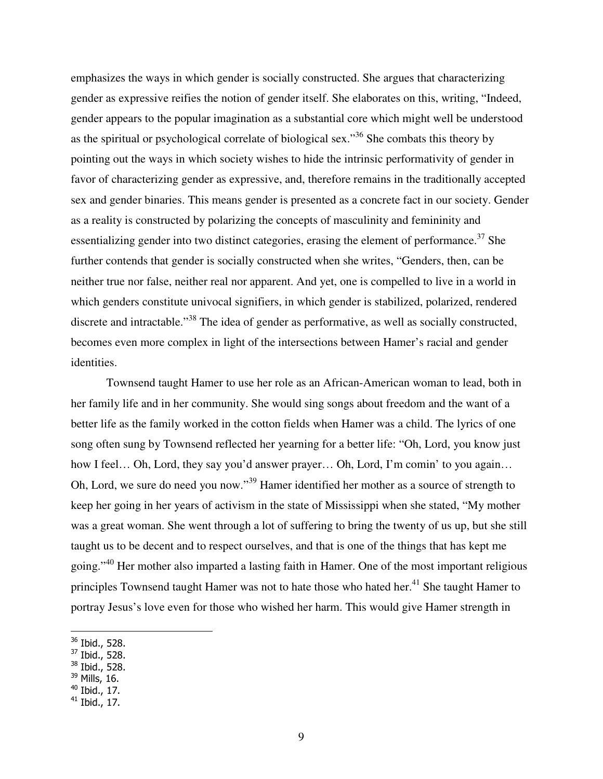emphasizes the ways in which gender is socially constructed. She argues that characterizing gender as expressive reifies the notion of gender itself. She elaborates on this, writing, "Indeed, gender appears to the popular imagination as a substantial core which might well be understood as the spiritual or psychological correlate of biological sex."<sup>36</sup> She combats this theory by pointing out the ways in which society wishes to hide the intrinsic performativity of gender in favor of characterizing gender as expressive, and, therefore remains in the traditionally accepted sex and gender binaries. This means gender is presented as a concrete fact in our society. Gender as a reality is constructed by polarizing the concepts of masculinity and femininity and essentializing gender into two distinct categories, erasing the element of performance.<sup>37</sup> She further contends that gender is socially constructed when she writes, "Genders, then, can be neither true nor false, neither real nor apparent. And yet, one is compelled to live in a world in which genders constitute univocal signifiers, in which gender is stabilized, polarized, rendered discrete and intractable."<sup>38</sup> The idea of gender as performative, as well as socially constructed, becomes even more complex in light of the intersections between Hamer's racial and gender identities.

Townsend taught Hamer to use her role as an African-American woman to lead, both in her family life and in her community. She would sing songs about freedom and the want of a better life as the family worked in the cotton fields when Hamer was a child. The lyrics of one song often sung by Townsend reflected her yearning for a better life: "Oh, Lord, you know just how I feel... Oh, Lord, they say you'd answer prayer... Oh, Lord, I'm comin' to you again... Oh, Lord, we sure do need you now."<sup>39</sup> Hamer identified her mother as a source of strength to keep her going in her years of activism in the state of Mississippi when she stated, "My mother was a great woman. She went through a lot of suffering to bring the twenty of us up, but she still taught us to be decent and to respect ourselves, and that is one of the things that has kept me going."<sup>40</sup> Her mother also imparted a lasting faith in Hamer. One of the most important religious principles Townsend taught Hamer was not to hate those who hated her.<sup>41</sup> She taught Hamer to portray Jesus's love even for those who wished her harm. This would give Hamer strength in

 $\overline{a}$ 

 $38$  Ibid., 528.

 $36$  Ibid., 528.

<sup>37</sup> Ibid., 528.

 $39$  Mills, 16.

 $40$  Ibid., 17.

 $41$  Ibid., 17.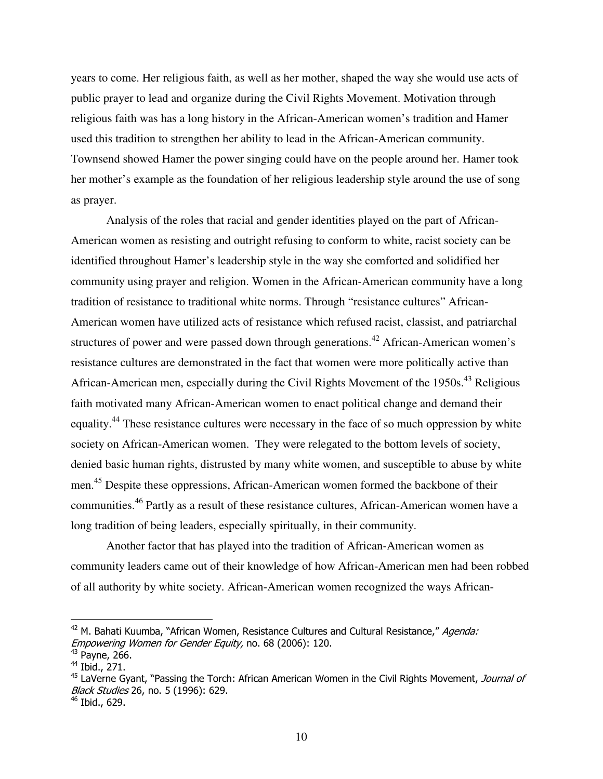years to come. Her religious faith, as well as her mother, shaped the way she would use acts of public prayer to lead and organize during the Civil Rights Movement. Motivation through religious faith was has a long history in the African-American women's tradition and Hamer used this tradition to strengthen her ability to lead in the African-American community. Townsend showed Hamer the power singing could have on the people around her. Hamer took her mother's example as the foundation of her religious leadership style around the use of song as prayer.

 Analysis of the roles that racial and gender identities played on the part of African-American women as resisting and outright refusing to conform to white, racist society can be identified throughout Hamer's leadership style in the way she comforted and solidified her community using prayer and religion. Women in the African-American community have a long tradition of resistance to traditional white norms. Through "resistance cultures" African-American women have utilized acts of resistance which refused racist, classist, and patriarchal structures of power and were passed down through generations.<sup>42</sup> African-American women's resistance cultures are demonstrated in the fact that women were more politically active than African-American men, especially during the Civil Rights Movement of the 1950s.<sup>43</sup> Religious faith motivated many African-American women to enact political change and demand their equality.<sup>44</sup> These resistance cultures were necessary in the face of so much oppression by white society on African-American women. They were relegated to the bottom levels of society, denied basic human rights, distrusted by many white women, and susceptible to abuse by white men.<sup>45</sup> Despite these oppressions, African-American women formed the backbone of their communities.<sup>46</sup> Partly as a result of these resistance cultures, African-American women have a long tradition of being leaders, especially spiritually, in their community.

Another factor that has played into the tradition of African-American women as community leaders came out of their knowledge of how African-American men had been robbed of all authority by white society. African-American women recognized the ways African-

 $42$  M. Bahati Kuumba, "African Women, Resistance Cultures and Cultural Resistance," Agenda: Empowering Women for Gender Equity, no. 68 (2006): 120.

 $43$  Payne, 266.

 $44$  Ibid., 271.

<sup>&</sup>lt;sup>45</sup> LaVerne Gyant, "Passing the Torch: African American Women in the Civil Rights Movement, Journal of *Black Studies* 26, no. 5 (1996): 629.

<sup>&</sup>lt;sup>46</sup> Ibid., 629.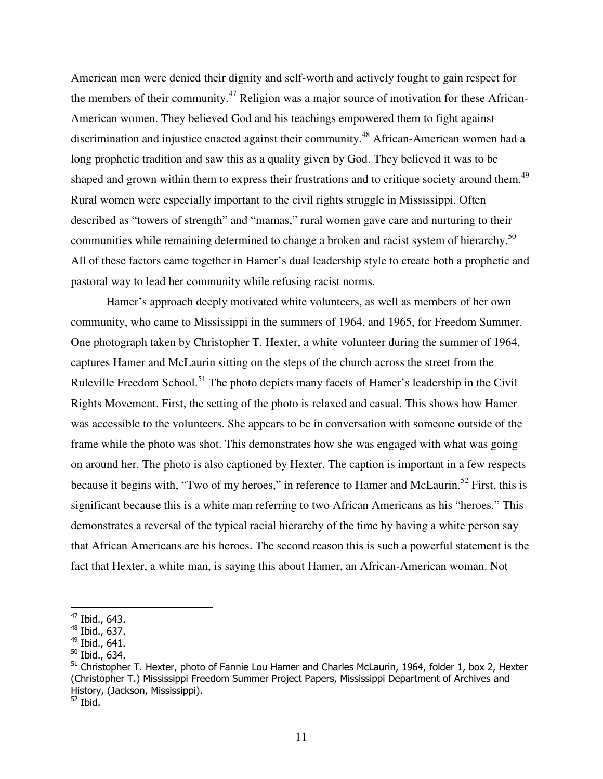American men were denied their dignity and self-worth and actively fought to gain respect for the members of their community.<sup>47</sup> Religion was a major source of motivation for these African-American women. They believed God and his teachings empowered them to fight against discrimination and injustice enacted against their community.<sup>48</sup> African-American women had a long prophetic tradition and saw this as a quality given by God. They believed it was to be shaped and grown within them to express their frustrations and to critique society around them.<sup>49</sup> Rural women were especially important to the civil rights struggle in Mississippi. Often described as "towers of strength" and "mamas," rural women gave care and nurturing to their communities while remaining determined to change a broken and racist system of hierarchy.<sup>50</sup> All of these factors came together in Hamer's dual leadership style to create both a prophetic and pastoral way to lead her community while refusing racist norms.

Hamer's approach deeply motivated white volunteers, as well as members of her own community, who came to Mississippi in the summers of 1964, and 1965, for Freedom Summer. One photograph taken by Christopher T. Hexter, a white volunteer during the summer of 1964, captures Hamer and McLaurin sitting on the steps of the church across the street from the Ruleville Freedom School.<sup>51</sup> The photo depicts many facets of Hamer's leadership in the Civil Rights Movement. First, the setting of the photo is relaxed and casual. This shows how Hamer was accessible to the volunteers. She appears to be in conversation with someone outside of the frame while the photo was shot. This demonstrates how she was engaged with what was going on around her. The photo is also captioned by Hexter. The caption is important in a few respects because it begins with, "Two of my heroes," in reference to Hamer and McLaurin.<sup>52</sup> First, this is significant because this is a white man referring to two African Americans as his "heroes." This demonstrates a reversal of the typical racial hierarchy of the time by having a white person say that African Americans are his heroes. The second reason this is such a powerful statement is the fact that Hexter, a white man, is saying this about Hamer, an African-American woman. Not

 $\overline{a}$ 

 $52$  Ibid.

<sup>&</sup>lt;sup>47</sup> Ibid., 643.

 $48$  Ibid., 637.

<sup>49</sup> Ibid., 641.

<sup>50</sup> Ibid., 634.

<sup>&</sup>lt;sup>51</sup> Christopher T. Hexter, photo of Fannie Lou Hamer and Charles McLaurin, 1964, folder 1, box 2, Hexter (Christopher T.) Mississippi Freedom Summer Project Papers, Mississippi Department of Archives and History, (Jackson, Mississippi).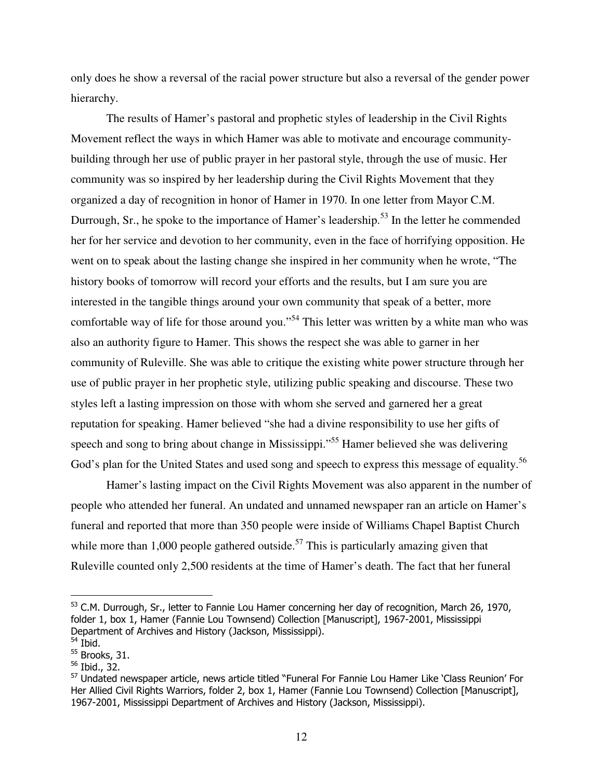only does he show a reversal of the racial power structure but also a reversal of the gender power hierarchy.

The results of Hamer's pastoral and prophetic styles of leadership in the Civil Rights Movement reflect the ways in which Hamer was able to motivate and encourage communitybuilding through her use of public prayer in her pastoral style, through the use of music. Her community was so inspired by her leadership during the Civil Rights Movement that they organized a day of recognition in honor of Hamer in 1970. In one letter from Mayor C.M. Durrough, Sr., he spoke to the importance of Hamer's leadership.<sup>53</sup> In the letter he commended her for her service and devotion to her community, even in the face of horrifying opposition. He went on to speak about the lasting change she inspired in her community when he wrote, "The history books of tomorrow will record your efforts and the results, but I am sure you are interested in the tangible things around your own community that speak of a better, more comfortable way of life for those around you."<sup>54</sup> This letter was written by a white man who was also an authority figure to Hamer. This shows the respect she was able to garner in her community of Ruleville. She was able to critique the existing white power structure through her use of public prayer in her prophetic style, utilizing public speaking and discourse. These two styles left a lasting impression on those with whom she served and garnered her a great reputation for speaking. Hamer believed "she had a divine responsibility to use her gifts of speech and song to bring about change in Mississippi."<sup>55</sup> Hamer believed she was delivering God's plan for the United States and used song and speech to express this message of equality.<sup>56</sup>

Hamer's lasting impact on the Civil Rights Movement was also apparent in the number of people who attended her funeral. An undated and unnamed newspaper ran an article on Hamer's funeral and reported that more than 350 people were inside of Williams Chapel Baptist Church while more than 1,000 people gathered outside.<sup>57</sup> This is particularly amazing given that Ruleville counted only 2,500 residents at the time of Hamer's death. The fact that her funeral

 $^{53}$  C.M. Durrough, Sr., letter to Fannie Lou Hamer concerning her day of recognition, March 26, 1970, folder 1, box 1, Hamer (Fannie Lou Townsend) Collection [Manuscript], 1967-2001, Mississippi Department of Archives and History (Jackson, Mississippi).

 $54$  Ibid.

<sup>&</sup>lt;sup>55</sup> Brooks, 31.

 $56$  Ibid., 32.

<sup>&</sup>lt;sup>57</sup> Undated newspaper article, news article titled "Funeral For Fannie Lou Hamer Like 'Class Reunion' For Her Allied Civil Rights Warriors, folder 2, box 1, Hamer (Fannie Lou Townsend) Collection [Manuscript], 1967-2001, Mississippi Department of Archives and History (Jackson, Mississippi).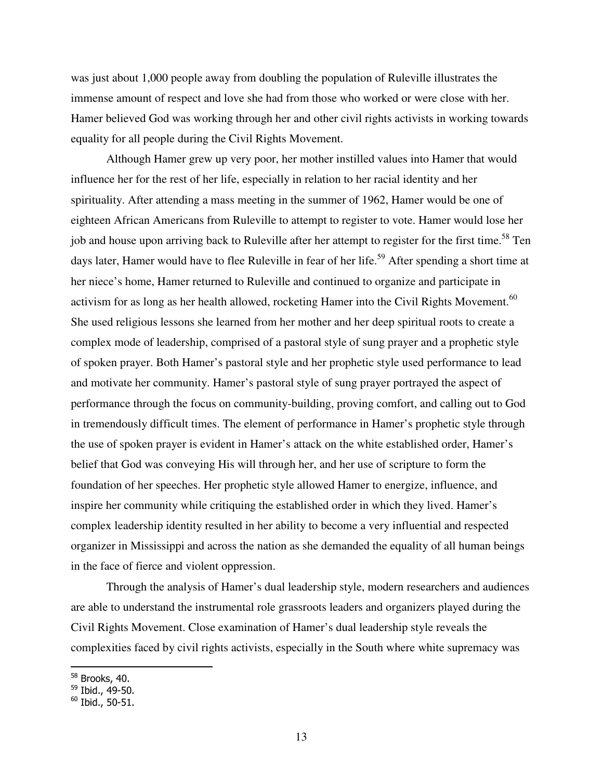was just about 1,000 people away from doubling the population of Ruleville illustrates the immense amount of respect and love she had from those who worked or were close with her. Hamer believed God was working through her and other civil rights activists in working towards equality for all people during the Civil Rights Movement.

 Although Hamer grew up very poor, her mother instilled values into Hamer that would influence her for the rest of her life, especially in relation to her racial identity and her spirituality. After attending a mass meeting in the summer of 1962, Hamer would be one of eighteen African Americans from Ruleville to attempt to register to vote. Hamer would lose her job and house upon arriving back to Ruleville after her attempt to register for the first time.<sup>58</sup> Ten days later, Hamer would have to flee Ruleville in fear of her life.<sup>59</sup> After spending a short time at her niece's home, Hamer returned to Ruleville and continued to organize and participate in activism for as long as her health allowed, rocketing Hamer into the Civil Rights Movement.<sup>60</sup> She used religious lessons she learned from her mother and her deep spiritual roots to create a complex mode of leadership, comprised of a pastoral style of sung prayer and a prophetic style of spoken prayer. Both Hamer's pastoral style and her prophetic style used performance to lead and motivate her community. Hamer's pastoral style of sung prayer portrayed the aspect of performance through the focus on community-building, proving comfort, and calling out to God in tremendously difficult times. The element of performance in Hamer's prophetic style through the use of spoken prayer is evident in Hamer's attack on the white established order, Hamer's belief that God was conveying His will through her, and her use of scripture to form the foundation of her speeches. Her prophetic style allowed Hamer to energize, influence, and inspire her community while critiquing the established order in which they lived. Hamer's complex leadership identity resulted in her ability to become a very influential and respected organizer in Mississippi and across the nation as she demanded the equality of all human beings in the face of fierce and violent oppression.

Through the analysis of Hamer's dual leadership style, modern researchers and audiences are able to understand the instrumental role grassroots leaders and organizers played during the Civil Rights Movement. Close examination of Hamer's dual leadership style reveals the complexities faced by civil rights activists, especially in the South where white supremacy was

 $58$  Brooks, 40.

 $59$  Ibid., 49-50.

 $60$  Ibid., 50-51.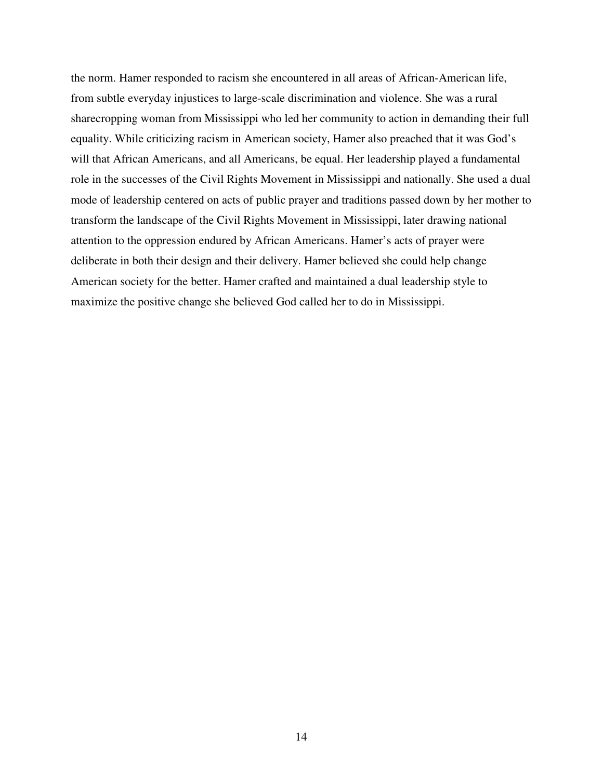the norm. Hamer responded to racism she encountered in all areas of African-American life, from subtle everyday injustices to large-scale discrimination and violence. She was a rural sharecropping woman from Mississippi who led her community to action in demanding their full equality. While criticizing racism in American society, Hamer also preached that it was God's will that African Americans, and all Americans, be equal. Her leadership played a fundamental role in the successes of the Civil Rights Movement in Mississippi and nationally. She used a dual mode of leadership centered on acts of public prayer and traditions passed down by her mother to transform the landscape of the Civil Rights Movement in Mississippi, later drawing national attention to the oppression endured by African Americans. Hamer's acts of prayer were deliberate in both their design and their delivery. Hamer believed she could help change American society for the better. Hamer crafted and maintained a dual leadership style to maximize the positive change she believed God called her to do in Mississippi.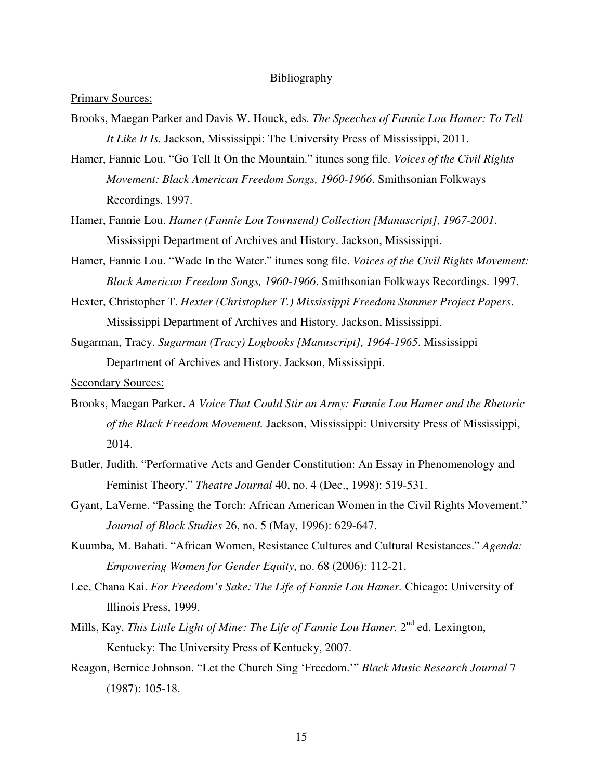#### Bibliography

#### Primary Sources:

- Brooks, Maegan Parker and Davis W. Houck, eds. *The Speeches of Fannie Lou Hamer: To Tell It Like It Is.* Jackson, Mississippi: The University Press of Mississippi, 2011.
- Hamer, Fannie Lou. "Go Tell It On the Mountain." itunes song file. *Voices of the Civil Rights Movement: Black American Freedom Songs, 1960-1966*. Smithsonian Folkways Recordings. 1997.
- Hamer, Fannie Lou. *Hamer (Fannie Lou Townsend) Collection [Manuscript], 1967-2001*. Mississippi Department of Archives and History. Jackson, Mississippi.
- Hamer, Fannie Lou. "Wade In the Water." itunes song file. *Voices of the Civil Rights Movement: Black American Freedom Songs, 1960-1966*. Smithsonian Folkways Recordings. 1997.
- Hexter, Christopher T. *Hexter (Christopher T.) Mississippi Freedom Summer Project Papers*. Mississippi Department of Archives and History. Jackson, Mississippi.
- Sugarman, Tracy. *Sugarman (Tracy) Logbooks [Manuscript], 1964-1965*. Mississippi Department of Archives and History. Jackson, Mississippi.

Secondary Sources:

- Brooks, Maegan Parker. *A Voice That Could Stir an Army: Fannie Lou Hamer and the Rhetoric of the Black Freedom Movement.* Jackson, Mississippi: University Press of Mississippi, 2014.
- Butler, Judith. "Performative Acts and Gender Constitution: An Essay in Phenomenology and Feminist Theory." *Theatre Journal* 40, no. 4 (Dec., 1998): 519-531.
- Gyant, LaVerne. "Passing the Torch: African American Women in the Civil Rights Movement." *Journal of Black Studies* 26, no. 5 (May, 1996): 629-647.
- Kuumba, M. Bahati. "African Women, Resistance Cultures and Cultural Resistances." *Agenda: Empowering Women for Gender Equity*, no. 68 (2006): 112-21.
- Lee, Chana Kai. *For Freedom's Sake: The Life of Fannie Lou Hamer.* Chicago: University of Illinois Press, 1999.
- Mills, Kay. This Little Light of Mine: The Life of Fannie Lou Hamer. 2<sup>nd</sup> ed. Lexington, Kentucky: The University Press of Kentucky, 2007.
- Reagon, Bernice Johnson. "Let the Church Sing 'Freedom.'" *Black Music Research Journal* 7 (1987): 105-18.